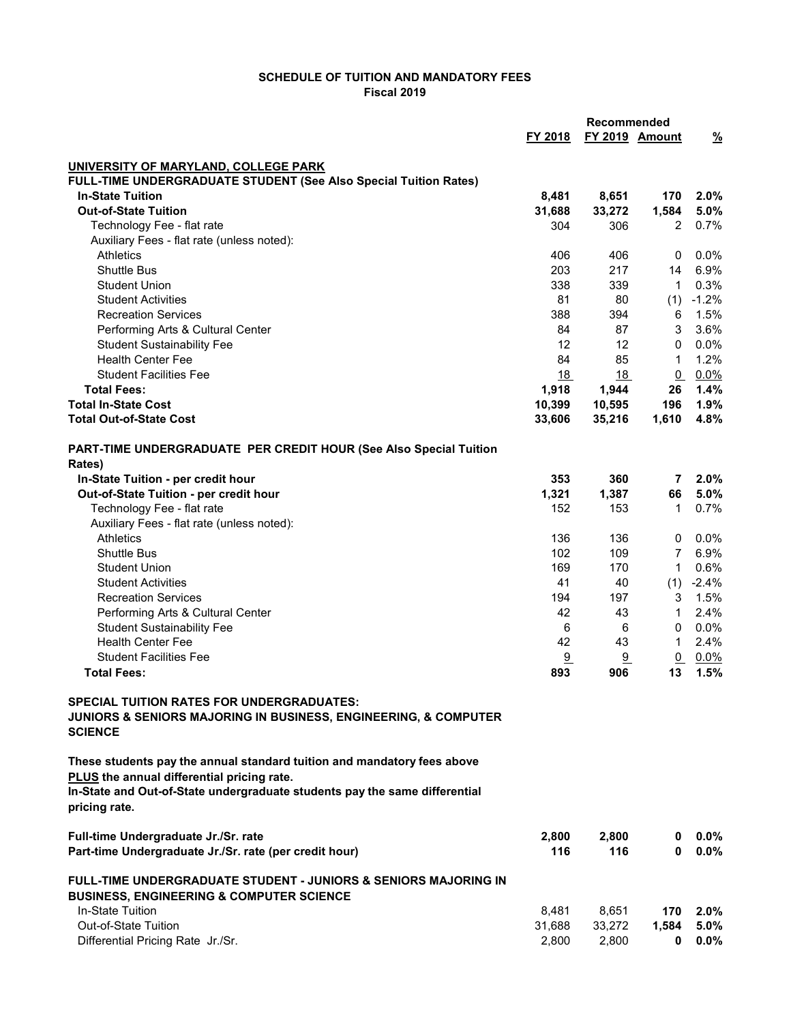## SCHEDULE OF TUITION AND MANDATORY FEES Fiscal 2019

|                                                                                                                                                                                                     | Recommended |        |                 |               |
|-----------------------------------------------------------------------------------------------------------------------------------------------------------------------------------------------------|-------------|--------|-----------------|---------------|
|                                                                                                                                                                                                     | FY 2018     |        | FY 2019 Amount  | $\frac{9}{6}$ |
|                                                                                                                                                                                                     |             |        |                 |               |
| UNIVERSITY OF MARYLAND, COLLEGE PARK                                                                                                                                                                |             |        |                 |               |
| FULL-TIME UNDERGRADUATE STUDENT (See Also Special Tuition Rates)                                                                                                                                    |             |        |                 |               |
| <b>In-State Tuition</b>                                                                                                                                                                             | 8,481       | 8,651  | 170             | 2.0%          |
| <b>Out-of-State Tuition</b>                                                                                                                                                                         | 31,688      | 33,272 | 1,584           | 5.0%          |
| Technology Fee - flat rate                                                                                                                                                                          | 304         | 306    | 2               | 0.7%          |
| Auxiliary Fees - flat rate (unless noted):<br><b>Athletics</b>                                                                                                                                      | 406         | 406    | 0               | $0.0\%$       |
| <b>Shuttle Bus</b>                                                                                                                                                                                  | 203         | 217    | 14              | 6.9%          |
| <b>Student Union</b>                                                                                                                                                                                | 338         | 339    | $\mathbf{1}$    | 0.3%          |
| <b>Student Activities</b>                                                                                                                                                                           | 81          | 80     | (1)             | $-1.2%$       |
| <b>Recreation Services</b>                                                                                                                                                                          | 388         | 394    | 6               | 1.5%          |
| Performing Arts & Cultural Center                                                                                                                                                                   | 84          | 87     | 3               | 3.6%          |
| <b>Student Sustainability Fee</b>                                                                                                                                                                   | 12          | 12     | 0               | 0.0%          |
| <b>Health Center Fee</b>                                                                                                                                                                            | 84          | 85     | $\mathbf{1}$    | 1.2%          |
| <b>Student Facilities Fee</b>                                                                                                                                                                       | 18          | 18     | Q               | 0.0%          |
| <b>Total Fees:</b>                                                                                                                                                                                  | 1,918       | 1,944  | 26              | 1.4%          |
| <b>Total In-State Cost</b>                                                                                                                                                                          | 10,399      | 10,595 | 196             | 1.9%          |
| <b>Total Out-of-State Cost</b>                                                                                                                                                                      | 33,606      | 35,216 | 1,610           | 4.8%          |
| PART-TIME UNDERGRADUATE PER CREDIT HOUR (See Also Special Tuition                                                                                                                                   |             |        |                 |               |
| Rates)                                                                                                                                                                                              |             |        |                 |               |
| In-State Tuition - per credit hour                                                                                                                                                                  | 353         | 360    | 7               | 2.0%          |
| Out-of-State Tuition - per credit hour                                                                                                                                                              | 1,321       | 1,387  | 66              | 5.0%          |
| Technology Fee - flat rate                                                                                                                                                                          | 152         | 153    | $\mathbf 1$     | 0.7%          |
| Auxiliary Fees - flat rate (unless noted):                                                                                                                                                          |             |        |                 |               |
| <b>Athletics</b>                                                                                                                                                                                    | 136         | 136    | 0               | $0.0\%$       |
| <b>Shuttle Bus</b>                                                                                                                                                                                  | 102         | 109    | 7               | 6.9%          |
| <b>Student Union</b>                                                                                                                                                                                | 169         | 170    | $\mathbf{1}$    | 0.6%          |
| <b>Student Activities</b>                                                                                                                                                                           | 41          | 40     | (1)             | $-2.4%$       |
| <b>Recreation Services</b>                                                                                                                                                                          | 194         | 197    | 3               | 1.5%          |
| Performing Arts & Cultural Center                                                                                                                                                                   | 42          | 43     | $\mathbf{1}$    | 2.4%          |
| <b>Student Sustainability Fee</b>                                                                                                                                                                   | 6           | 6      | 0               | 0.0%          |
| <b>Health Center Fee</b>                                                                                                                                                                            | 42          | 43     | $\mathbf{1}$    | 2.4%          |
| <b>Student Facilities Fee</b>                                                                                                                                                                       | 9           | 9      | $\underline{0}$ | $0.0\%$       |
| <b>Total Fees:</b>                                                                                                                                                                                  | 893         | 906    | 13              | 1.5%          |
| <b>SPECIAL TUITION RATES FOR UNDERGRADUATES:</b><br>JUNIORS & SENIORS MAJORING IN BUSINESS, ENGINEERING, & COMPUTER<br><b>SCIENCE</b>                                                               |             |        |                 |               |
| These students pay the annual standard tuition and mandatory fees above<br>PLUS the annual differential pricing rate.<br>In-State and Out-of-State undergraduate students pay the same differential |             |        |                 |               |
| pricing rate.                                                                                                                                                                                       |             |        |                 |               |
| Full-time Undergraduate Jr./Sr. rate                                                                                                                                                                | 2,800       | 2,800  | 0               | $0.0\%$       |
| Part-time Undergraduate Jr./Sr. rate (per credit hour)                                                                                                                                              | 116         | 116    | 0               | $0.0\%$       |
| FULL-TIME UNDERGRADUATE STUDENT - JUNIORS & SENIORS MAJORING IN<br><b>BUSINESS, ENGINEERING &amp; COMPUTER SCIENCE</b>                                                                              |             |        |                 |               |
| In-State Tuition                                                                                                                                                                                    | 8,481       | 8,651  | 170             | 2.0%          |
| <b>Out-of-State Tuition</b>                                                                                                                                                                         | 31,688      | 33,272 | 1,584           | $5.0\%$       |
| Differential Pricing Rate Jr./Sr.                                                                                                                                                                   | 2,800       | 2,800  | 0               | 0.0%          |
|                                                                                                                                                                                                     |             |        |                 |               |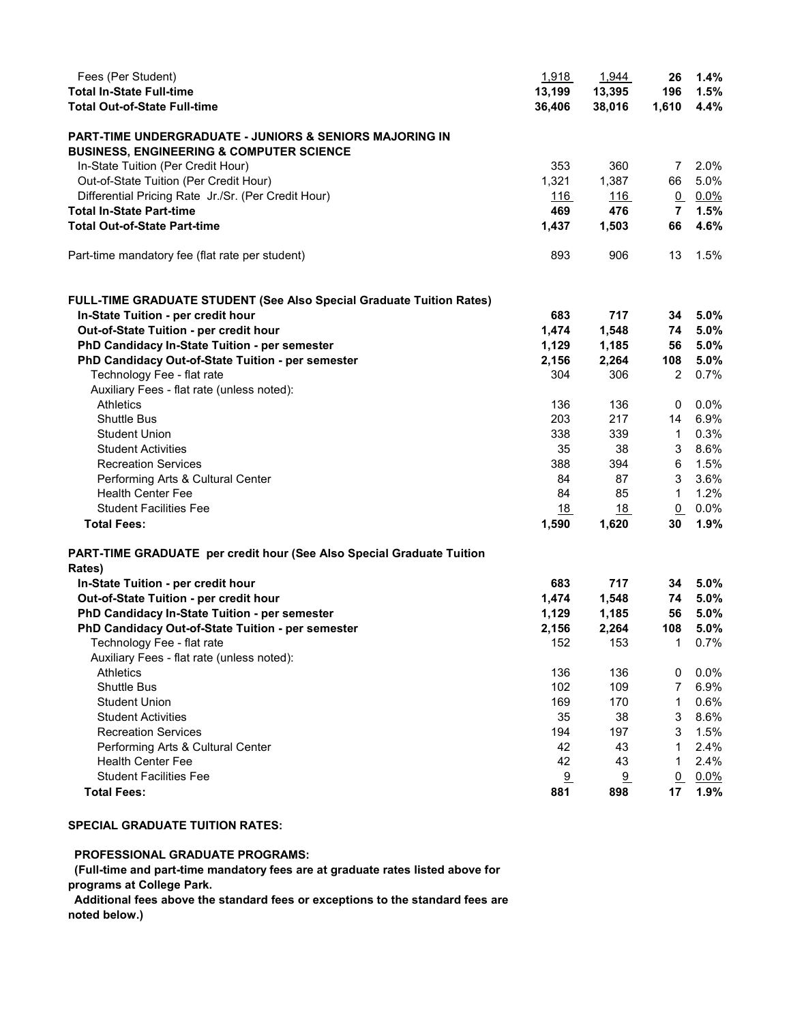| Fees (Per Student)                                                          | 1,918      | 1,944      | 26             | 1.4%    |
|-----------------------------------------------------------------------------|------------|------------|----------------|---------|
| <b>Total In-State Full-time</b>                                             | 13,199     | 13,395     | 196            | 1.5%    |
| <b>Total Out-of-State Full-time</b>                                         | 36,406     | 38,016     | 1,610          | 4.4%    |
| <b>PART-TIME UNDERGRADUATE - JUNIORS &amp; SENIORS MAJORING IN</b>          |            |            |                |         |
| <b>BUSINESS, ENGINEERING &amp; COMPUTER SCIENCE</b>                         |            |            |                |         |
|                                                                             |            |            |                |         |
| In-State Tuition (Per Credit Hour)                                          | 353        | 360        | $\overline{7}$ | 2.0%    |
| Out-of-State Tuition (Per Credit Hour)                                      | 1,321      | 1,387      | 66             | 5.0%    |
| Differential Pricing Rate Jr./Sr. (Per Credit Hour)                         | <u>116</u> | <u>116</u> | $\Omega$       | $0.0\%$ |
| <b>Total In-State Part-time</b>                                             | 469        | 476        | $\overline{7}$ | 1.5%    |
| <b>Total Out-of-State Part-time</b>                                         | 1,437      | 1,503      | 66             | 4.6%    |
| Part-time mandatory fee (flat rate per student)                             | 893        | 906        | 13             | 1.5%    |
| <b>FULL-TIME GRADUATE STUDENT (See Also Special Graduate Tuition Rates)</b> |            |            |                |         |
| In-State Tuition - per credit hour                                          | 683        | 717        | 34             | 5.0%    |
| Out-of-State Tuition - per credit hour                                      | 1,474      | 1,548      | 74             | 5.0%    |
| PhD Candidacy In-State Tuition - per semester                               | 1,129      | 1,185      | 56             | 5.0%    |
| PhD Candidacy Out-of-State Tuition - per semester                           | 2,156      | 2,264      | 108            | 5.0%    |
| Technology Fee - flat rate                                                  | 304        | 306        | 2              | 0.7%    |
| Auxiliary Fees - flat rate (unless noted):                                  |            |            |                |         |
| <b>Athletics</b>                                                            | 136        | 136        | 0              | $0.0\%$ |
| <b>Shuttle Bus</b>                                                          | 203        | 217        | 14             | 6.9%    |
| <b>Student Union</b>                                                        | 338        | 339        | $\mathbf{1}$   | 0.3%    |
|                                                                             |            |            |                |         |
| <b>Student Activities</b>                                                   | 35         | 38         | 3              | 8.6%    |
| <b>Recreation Services</b>                                                  | 388        | 394        | 6              | 1.5%    |
| Performing Arts & Cultural Center                                           | 84         | 87         | 3              | 3.6%    |
| <b>Health Center Fee</b>                                                    | 84         | 85         | 1              | 1.2%    |
| <b>Student Facilities Fee</b>                                               | 18         | 18         | $\Omega$       | $0.0\%$ |
| <b>Total Fees:</b>                                                          | 1,590      | 1,620      | 30             | 1.9%    |
| PART-TIME GRADUATE per credit hour (See Also Special Graduate Tuition       |            |            |                |         |
| Rates)                                                                      |            |            |                |         |
| In-State Tuition - per credit hour                                          | 683        | 717        | 34             | 5.0%    |
| Out-of-State Tuition - per credit hour                                      | 1,474      | 1,548      | 74             | 5.0%    |
| PhD Candidacy In-State Tuition - per semester                               | 1,129      | 1,185      | 56             | 5.0%    |
| PhD Candidacy Out-of-State Tuition - per semester                           | 2,156      | 2,264      | 108            | 5.0%    |
| Technology Fee - flat rate                                                  | 152        | 153        | $\mathbf{1}$   | 0.7%    |
| Auxiliary Fees - flat rate (unless noted):                                  |            |            |                |         |
| <b>Athletics</b>                                                            | 136        | 136        | 0              | 0.0%    |
| <b>Shuttle Bus</b>                                                          | 102        | 109        | 7              | 6.9%    |
| <b>Student Union</b>                                                        | 169        | 170        | 1              | 0.6%    |
| <b>Student Activities</b>                                                   | 35         | 38         | 3              | 8.6%    |
| <b>Recreation Services</b>                                                  | 194        | 197        | 3              | 1.5%    |
| Performing Arts & Cultural Center                                           | 42         | 43         | 1              | 2.4%    |
| Health Center Fee                                                           | 42         | 43         | 1              | 2.4%    |
| <b>Student Facilities Fee</b>                                               | 9          | 9          | Q              | $0.0\%$ |
|                                                                             |            |            |                |         |
| <b>Total Fees:</b>                                                          | 881        | 898        | 17             | 1.9%    |

## SPECIAL GRADUATE TUITION RATES:

PROFESSIONAL GRADUATE PROGRAMS:

 (Full-time and part-time mandatory fees are at graduate rates listed above for programs at College Park.

 Additional fees above the standard fees or exceptions to the standard fees are noted below.)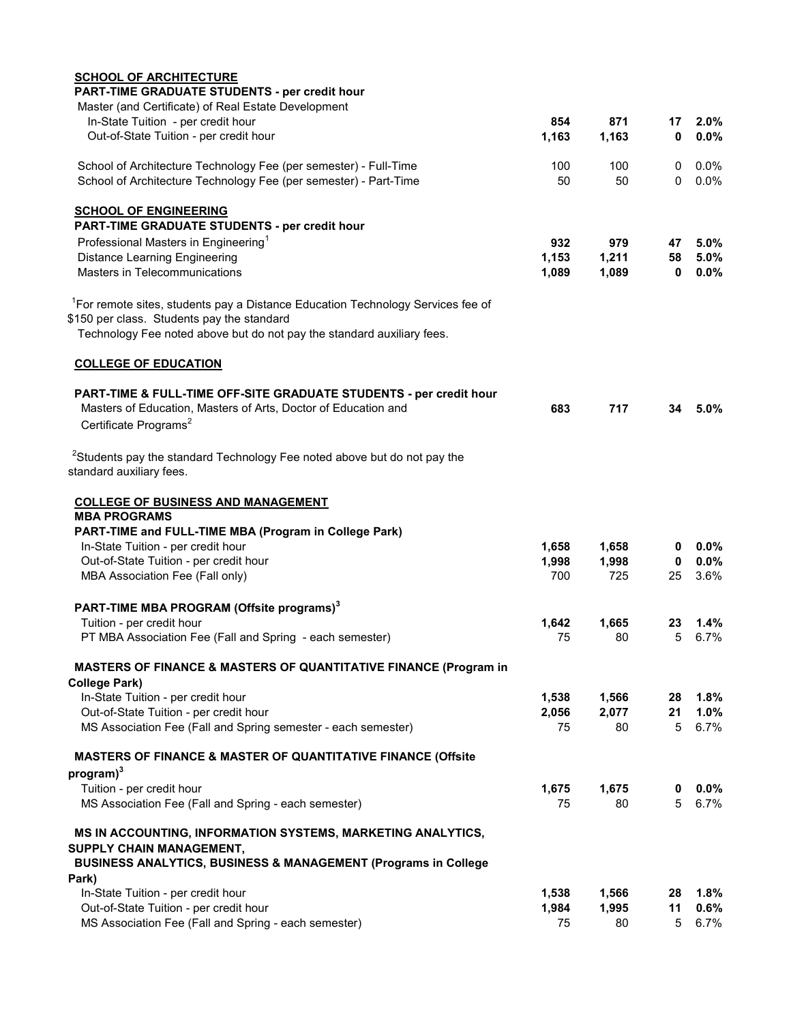| <b>SCHOOL OF ARCHITECTURE</b><br>PART-TIME GRADUATE STUDENTS - per credit hour                                   |                |                |                    |                 |
|------------------------------------------------------------------------------------------------------------------|----------------|----------------|--------------------|-----------------|
| Master (and Certificate) of Real Estate Development                                                              |                |                |                    |                 |
| In-State Tuition - per credit hour                                                                               | 854            | 871            | 17                 | $2.0\%$         |
| Out-of-State Tuition - per credit hour                                                                           | 1,163          | 1,163          | $\bf{0}$           | $0.0\%$         |
| School of Architecture Technology Fee (per semester) - Full-Time                                                 | 100            | 100            | 0                  | $0.0\%$         |
| School of Architecture Technology Fee (per semester) - Part-Time                                                 | 50             | 50             | $\Omega$           | $0.0\%$         |
| <b>SCHOOL OF ENGINEERING</b>                                                                                     |                |                |                    |                 |
| PART-TIME GRADUATE STUDENTS - per credit hour                                                                    |                |                |                    |                 |
| Professional Masters in Engineering <sup>1</sup>                                                                 | 932            | 979            | 47                 | 5.0%            |
| <b>Distance Learning Engineering</b><br>Masters in Telecommunications                                            | 1,153<br>1,089 | 1,211<br>1,089 | 58<br>$\mathbf{0}$ | 5.0%<br>$0.0\%$ |
|                                                                                                                  |                |                |                    |                 |
| <sup>1</sup> For remote sites, students pay a Distance Education Technology Services fee of                      |                |                |                    |                 |
| \$150 per class. Students pay the standard                                                                       |                |                |                    |                 |
| Technology Fee noted above but do not pay the standard auxiliary fees.                                           |                |                |                    |                 |
| <b>COLLEGE OF EDUCATION</b>                                                                                      |                |                |                    |                 |
| PART-TIME & FULL-TIME OFF-SITE GRADUATE STUDENTS - per credit hour                                               |                |                |                    |                 |
| Masters of Education, Masters of Arts, Doctor of Education and<br>Certificate Programs <sup>2</sup>              | 683            | 717            | 34                 | $5.0\%$         |
|                                                                                                                  |                |                |                    |                 |
| <sup>2</sup> Students pay the standard Technology Fee noted above but do not pay the<br>standard auxiliary fees. |                |                |                    |                 |
| <b>COLLEGE OF BUSINESS AND MANAGEMENT</b>                                                                        |                |                |                    |                 |
| <b>MBA PROGRAMS</b>                                                                                              |                |                |                    |                 |
| PART-TIME and FULL-TIME MBA (Program in College Park)                                                            |                |                |                    |                 |
| In-State Tuition - per credit hour                                                                               | 1,658          | 1,658          | 0                  | $0.0\%$         |
| Out-of-State Tuition - per credit hour                                                                           | 1,998          | 1,998          | $\mathbf{0}$       | $0.0\%$         |
| MBA Association Fee (Fall only)                                                                                  | 700            | 725            | 25                 | 3.6%            |
| PART-TIME MBA PROGRAM (Offsite programs) <sup>3</sup>                                                            |                |                |                    |                 |
| Tuition - per credit hour                                                                                        | 1,642          | 1,665          | 23                 | 1.4%            |
| PT MBA Association Fee (Fall and Spring - each semester)                                                         | 75             | 80             | 5                  | 6.7%            |
| <b>MASTERS OF FINANCE &amp; MASTERS OF QUANTITATIVE FINANCE (Program in</b>                                      |                |                |                    |                 |
| <b>College Park)</b>                                                                                             |                |                |                    |                 |
| In-State Tuition - per credit hour                                                                               | 1,538          | 1,566          | 28                 | 1.8%            |
| Out-of-State Tuition - per credit hour                                                                           | 2,056          | 2,077          | 21                 | 1.0%            |
| MS Association Fee (Fall and Spring semester - each semester)                                                    | 75             | 80             | 5                  | 6.7%            |
| <b>MASTERS OF FINANCE &amp; MASTER OF QUANTITATIVE FINANCE (Offsite</b>                                          |                |                |                    |                 |
| program) <sup>3</sup>                                                                                            |                |                |                    |                 |
| Tuition - per credit hour                                                                                        | 1,675          | 1,675          | 0                  | 0.0%            |
| MS Association Fee (Fall and Spring - each semester)                                                             | 75             | 80             | 5                  | 6.7%            |
| MS IN ACCOUNTING, INFORMATION SYSTEMS, MARKETING ANALYTICS,<br>SUPPLY CHAIN MANAGEMENT,                          |                |                |                    |                 |
| <b>BUSINESS ANALYTICS, BUSINESS &amp; MANAGEMENT (Programs in College</b>                                        |                |                |                    |                 |
| Park)                                                                                                            |                |                |                    |                 |
| In-State Tuition - per credit hour                                                                               | 1,538          | 1,566          | 28                 | 1.8%            |
| Out-of-State Tuition - per credit hour                                                                           | 1,984          | 1,995          | 11                 | 0.6%            |
| MS Association Fee (Fall and Spring - each semester)                                                             | 75             | 80             | 5                  | 6.7%            |
|                                                                                                                  |                |                |                    |                 |